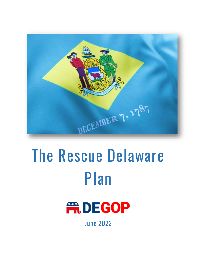

# **The Rescue Delaware Plan**



**June 2022**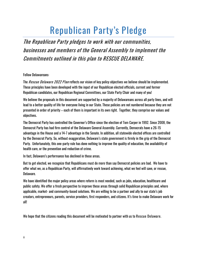## **Republican Party's Pledge**

**The Republican Party pledges to work with our communities, businesses and members of the General Assembly to implement the Commitments outlined in this plan to RESCUE DELAWARE.**

#### Fellow Delawareans:

The **Rescue Delaware 2022 Plan** reflects our vision of key policy objectives we believe should be implemented. These principles have been developed with the input of our Republican elected officials, current and former Republican candidates, our Republican Regional Committees, our State Party Chair and many of you!

We believe the proposals in this document are supported by a majority of Delawareans across all party lines, and will lead to a better quality of life for everyone living in our State. These policies are not numbered because they are not presented in order of priority – each of them is important in its own right. Together, they comprise our values and objectives.

The Democrat Party has controlled the Governor's Office since the election of Tom Carper in 1992. Since 2008, the Democrat Party has had firm control of the Delaware General Assembly. Currently, Democrats have a 26-15 advantage in the House and a 14-7 advantage in the Senate. In addition, all statewide elected offices are controlled by the Democrat Party. So, without exaggeration, Delaware's state government is firmly in the grip of the Democrat Party. Unfortunately, this one-party rule has done nothing to improve the quality of education, the availability of health care, or the prevention and reduction of crime.

In fact, Delaware's performance has declined in those areas.

But to get elected, we recognize that Republicans must do more than say Democrat policies are bad. We have to offer what we, as a Republican Party, will affirmatively work toward achieving, what we feel will save, or rescue, Delaware.

We have identified the major policy areas where reform is most needed, such as jobs, education, healthcare and public safety. We offer a fresh perspective to improve these areas through solid Republican principles and, where applicable, market- and community-based solutions. We are willing to be a partner and ally to our state's job creators, entrepreneurs, parents, service providers, first responders, and citizens. It's time to make Delaware work for all!

We hope that the citizens reading this document will be motivated to partner with us to **Rescue Delaware.**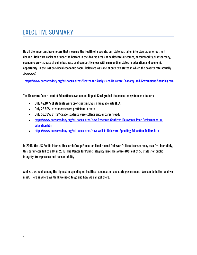## **EXECUTIVE SUMMARY**

By all the important barometers that measure the health of a society, our state has fallen into stagnation or outright decline. Delaware ranks at or near the bottom in the diverse areas of healthcare outcomes, accountability, transparency, economic growth, ease of doing business, and competitiveness with surrounding states in education and economic opportunity. In the last pre-Covid economic boom, Delaware was one of only two states in which the poverty rate actually increased.

<https://www.caesarrodney.org/cri-focus-areas/Center-for-Analysis-of-Delaware-Economy-and-Government-Spending.htm>

The Delaware Department of Education's own annual Report Card graded the education system as a failure:

- Only 42.18% of students were proficient in English language arts (ELA)
- Only 26.59% of students were proficient in math
- Only 58.58% of 12<sup>th</sup>-grade students were college and/or career ready
- [https://www.caesarrodney.org/cri-focus-area/New-Research-Confirms-Delawares-Poor-Performance-in-](https://www.caesarrodney.org/cri-focus-area/New-Research-Confirms-Delawares-Poor-Performance-in-Education.htm)[Education.htm](https://www.caesarrodney.org/cri-focus-area/New-Research-Confirms-Delawares-Poor-Performance-in-Education.htm)
- <https://www.caesarrodney.org/cri-focus-area/How-well-is-Delaware-Spending-Education-Dollars.htm>

In 2016, the U.S Public Interest Research Group Education Fund ranked Delaware's fiscal transparency as a C+. Incredibly, this parameter fell to a D+ in 2019. The Center for Public Integrity ranks Delaware 48th out of 50 states for public integrity, transparency and accountability.

And yet, we rank among the highest in spending on healthcare, education and state government. We can do better, and we must. Here is where we think we need to go and how we can get there.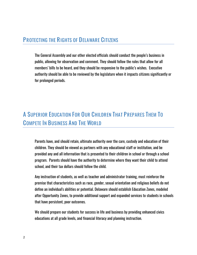## **PROTECTING THE RIGHTS OF DELAWARE CITIZENS**

The General Assembly and our other elected officials should conduct the people's business in public, allowing for observation and comment. They should follow the rules that allow for all members' bills to be heard, and they should be responsive to the public's wishes. Executive authority should be able to be reviewed by the legislature when it impacts citizens significantly or for prolonged periods.

## **A SUPERIOR EDUCATION FOR OUR CHILDREN THAT PREPARES THEM TO COMPETE IN BUSINESS AND THE WORLD**

Parents have, and should retain, ultimate authority over the care, custody and education of their children. They should be viewed as partners with any educational staff or institution, and be provided any and all information that is presented to their children in school or through a school program. Parents should have the authority to determine where they want their child to attend school, and their tax dollars should follow the child.

Any instruction of students, as well as teacher and administrator training, must reinforce the premise that characteristics such as race, gender, sexual orientation and religious beliefs do not define an individual's abilities or potential. Delaware should establish Education Zones, modeled after Opportunity Zones, to provide additional support and expanded services to students in schools that have persistent, poor outcomes.

We should prepare our students for success in life and business by providing enhanced civics educations at all grade levels, and financial literacy and planning instruction.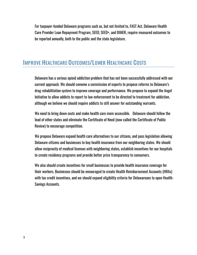For taxpayer-funded Delaware programs such as, but not limited to, FAST Act, Delaware Health Care Provider Loan Repayment Program, SEED, SEED+, and DIMER, require measured outcomes to be reported annually, both to the public and the state legislature.

## **IMPROVE HEALTHCARE OUTCOMES/LOWER HEALTHCARE COSTS**

Delaware has a serious opioid addiction problem that has not been successfully addressed with our current approach. We should convene a commission of experts to propose reforms to Delaware's drug rehabilitation system to improve coverage and performance. We propose to expand the Angel Initiative to allow addicts to report to law enforcement to be directed to treatment for addiction, although we believe we should require addicts to still answer for outstanding warrants.

We need to bring down costs and make health care more accessible. Delaware should follow the lead of other states and eliminate the Certificate of Need (now called the Certificate of Public Review) to encourage competition.

We propose Delaware expand health care alternatives to our citizens, and pass legislation allowing Delaware citizens and businesses to buy health insurance from our neighboring states. We should allow reciprocity of medical licenses with neighboring states, establish incentives for our hospitals to create residency programs and provide better price transparency to consumers.

We also should create incentives for small businesses to provide health insurance coverage for their workers. Businesses should be encouraged to create Health Reimbursement Accounts (HRAs) with tax credit incentives, and we should expand eligibility criteria for Delawareans to open Health-Savings Accounts.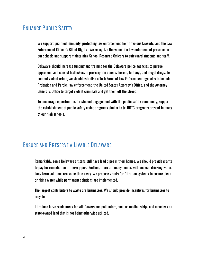## **ENHANCE PUBLIC SAFETY**

We support qualified immunity, protecting law enforcement from frivolous lawsuits, and the Law Enforcement Officer's Bill of Rights. We recognize the value of a law enforcement presence in our schools and support maintaining School Resource Officers to safeguard students and staff.

Delaware should increase funding and training for the Delaware police agencies to pursue, apprehend and convict traffickers in prescription opioids, heroin, fentanyl, and illegal drugs. To combat violent crime, we should establish a Task Force of Law Enforcement agencies to include Probation and Parole, law enforcement, the United States Attorney's Office, and the Attorney General's Office to target violent criminals and get them off the street.

To encourage opportunities for student engagement with the public safety community, support the establishment of public safety cadet programs similar to Jr. ROTC programs present in many of our high schools.

## **ENSURE AND PRESERVE A LIVABLE DELAWARE**

Remarkably, some Delaware citizens still have lead pipes in their homes. We should provide grants to pay for remediation of those pipes. Further, there are many homes with unclean drinking water. Long term solutions are some time away. We propose grants for filtration systems to ensure clean drinking water while permanent solutions are implemented.

The largest contributors to waste are businesses. We should provide incentives for businesses to recycle.

Introduce large-scale areas for wildflowers and pollinators, such as median strips and meadows on state-owned land that is not being otherwise utilized.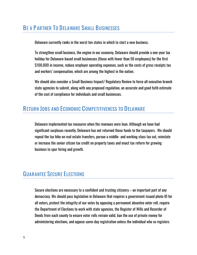## **BE A PARTNER TO DELAWARE SMALL BUSINESSES**

Delaware currently ranks in the worst ten states in which to start a new business.

To strengthen small business, the engine in our economy, Delaware should provide a one-year tax holiday for Delaware-based small businesses (those with fewer than 50 employees) for the first \$100,000 in income, reduce employer operating expenses, such as the costs of gross receipts tax and workers' compensation, which are among the highest in the nation.

We should also consider a Small Business Impact/ Regulatory Review to force all executive branch state agencies to submit, along with any proposed regulation, an accurate and good faith estimate of the cost of compliance for individuals and small businesses.

## **RETURN JOBS AND ECONOMIC COMPETITIVENESS TO DELAWARE**

Delaware implemented tax measures when the revenues were lean. Although we have had significant surpluses recently, Delaware has not returned those funds to the taxpayers. We should repeal the tax hike on real estate transfers, pursue a middle- and working-class tax cut, reinstate or increase the senior citizen tax credit on property taxes and enact tax reform for growing business to spur hiring and growth.

## **GUARANTEE SECURE ELECTIONS**

Secure elections are necessary to a confident and trusting citizenry – an important part of any democracy. We should pass legislation in Delaware that requires a government-issued photo ID for all voters, protect the integrity of our votes by opposing a permanent absentee voter roll, require the Department of Elections to work with state agencies, the Register of Wills and Recorder of Deeds from each county to ensure voter rolls remain valid, ban the use of private money for administering elections, and oppose same-day registration unless the individual who so registers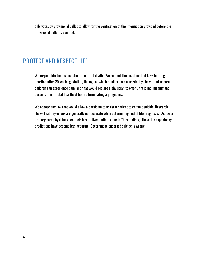only votes by provisional ballot to allow for the verification of the information provided before the provisional ballot is counted.

## **PROTECT AND RESPECT LIFE**

We respect life from conception to natural death. We support the enactment of laws limiting abortion after 20 weeks gestation, the age at which studies have consistently shown that unborn children can experience pain, and that would require a physician to offer ultrasound imaging and auscultation of fetal heartbeat before terminating a pregnancy.

We oppose any law that would allow a physician to assist a patient to commit suicide. Research shows that physicians are generally not accurate when determining end of life prognoses. As fewer primary care physicians see their hospitalized patients due to "hospitalists," these life expectancy predictions have become less accurate. Government-endorsed suicide is wrong.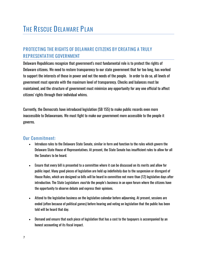## **PROTECTING THE RIGHTS OF DELAWARE CITIZENS BY CREATING A TRULY REPRESENTATIVE GOVERNMENT**

Delaware Republicans recognize that government's most fundamental role is to protect the rights of Delaware citizens. We need to restore transparency to our state government that for too long, has worked to support the interests of those in power and not the needs of the people. In order to do so, all levels of government must operate with the maximum level of transparency. Checks and balances must be maintained, and the structure of government must minimize any opportunity for any one official to affect citizens' rights through their individual whims.

Currently, the Democrats have introduced legislation (SB 155) to make public records even more inaccessible to Delawareans. We must fight to make our government more accessible to the people it governs.

- Introduce rules to the Delaware State Senate, similar in form and function to the rules which govern the Delaware State House of Representatives. At present, the State Senate has insufficient rules to allow for all the Senators to be heard.
- Ensure that every bill is presented to a committee where it can be discussed on its merits and allow for public input. Many good pieces of legislation are held up indefinitely due to the suspension or disregard of House Rules, which are designed so bills will be heard in committee not more than (12) legislative days after introduction. The State Legislature *must* do the people's business in an open forum where the citizens have the opportunity to observe debate and express their opinions.
- Attend to the legislative business on the legislative calendar before adjourning. At present, sessions are ended (often because of political games) before hearing and voting on legislation that the public has been told will be heard that day.
- Demand and ensure that each piece of legislation that has a cost to the taxpayers is accompanied by an honest accounting of its fiscal impact.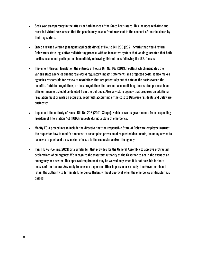- Seek *true* transparency in the affairs of both houses of the State Legislature. This includes real-time and recorded virtual sessions so that the people may have a front-row seat to the conduct of their business by their legislators.
- Enact a revised version (changing applicable dates) of House Bill 236 (2021, Smith) that would reform Delaware's state legislative redistricting process with an innovative system that would guarantee that both parties have equal participation in equitably redrawing district lines following the U.S. Census.
- Implement through legislation the entirety of House Bill No. 167 (2019, Postles), which mandates the various state agencies submit real-world regulatory impact statements and projected costs. It also makes agencies responsible for review of regulations that are potentially out of date or the costs exceed the benefits. Outdated regulations, or those regulations that are not accomplishing their stated purpose in an efficient manner, should be deleted from the Del Code. Also, any state agency that proposes an additional regulation must provide an accurate, good faith accounting of the cost to Delaware residents and Delaware businesses.
- Implement the entirety of House Bill No. 203 (2021, Shupe), which prevents governments from suspending Freedom of Information Act (FOIA) requests during a state of emergency.
- Modify FOIA procedures to include the directive that the responsible State of Delaware employee instruct the requestor how to modify a request to accomplish provision of requested documents, including advice to narrow a request and a discussion of costs to the requestor and/or the agency.
- Pass HB 49 (Collins, 2021) or a similar bill that provides for the General Assembly to approve protracted declarations of emergency. We recognize the statutory authority of the Governor to act in the event of an emergency or disaster. This approval requirement may be waived only when it is not possible for both houses of the General Assembly to convene a quorum either in person or virtually. The Governor should retain the authority to terminate Emergency Orders without approval when the emergency or disaster has passed.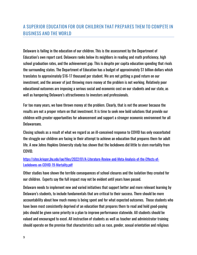## **A SUPERIOR EDUCATION FOR OUR CHILDREN THAT PREPARES THEM TO COMPETE IN BUSINESS AND THE WORLD**

Delaware is failing in the education of our children. This is the assessment by the Department of Education's own report card. Delaware ranks below its neighbors in reading and math proficiency, high school graduation rates, and the achievement gap. This is despite per capita education spending that rivals the surrounding states. The Department of Education has a budget of approximately \$1 billion dollars which translates to approximately \$16-17 thousand per student. We are not getting a good return on our investment, and the answer of just throwing more money at the problem is not working. Relatively poor educational outcomes are imposing a serious social and economic cost on our students and our state, as well as hampering Delaware's attractiveness to investors and professionals.

For too many years, we have thrown money at the problem. Clearly, that is not the answer because the results are not a proper return on that investment. It is time to seek new bold solutions that provide our children with greater opportunities for advancement and support a stronger economic environment for all Delawareans.

Closing schools as a result of what we regard as an ill-conceived response to COVID has only exacerbated the struggle our children are facing in their attempt to achieve an education that prepares them for adult life. A new Johns Hopkins University study has shown that the lockdowns did little to stem mortality from COVID.

#### [https://sites.krieger.jhu.edu/iae/files/2022/01/A-Literature-Review-and-Meta-Analysis-of-the-Effects-of-](https://sites.krieger.jhu.edu/iae/files/2022/01/A-Literature-Review-and-Meta-Analysis-of-the-Effects-of-Lockdowns-on-COVID-19-Mortality.pdf)[Lockdowns-on-COVID-19-Mortality.pdf](https://sites.krieger.jhu.edu/iae/files/2022/01/A-Literature-Review-and-Meta-Analysis-of-the-Effects-of-Lockdowns-on-COVID-19-Mortality.pdf)

Other studies have shown the terrible consequences of school closures and the isolation they created for our children. Experts say the full impact may not be evident until years have passed.

Delaware needs to implement new and varied initiatives that support better and more relevant learning by Delaware's students, to include fundamentals that are critical to their success. There should be more accountability about how much money is being spent and for what expected outcomes. Those students who have been most consistently deprived of an education that prepares them to read and hold good-paying jobs should be given some priority in a plan to improve performance statewide. All students should be valued and encouraged to excel. All instruction of students as well as teacher and administrator training should operate on the premise that characteristics such as race, gender, sexual orientation and religious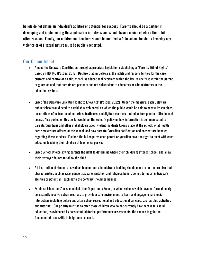beliefs do not define an individual's abilities or potential for success. Parents should be a partner in developing and implementing these education initiatives, and should have a choice of where their child attends school. Finally, our children and teachers should be and feel safe in school. Incidents involving any violence or of a sexual nature must be publicly reported.

- Amend the Delaware Constitution through appropriate legislation establishing a "Parents' Bill of Rights" based on HB 145 (Postles, 2019). Declare that, in Delaware, the rights and responsibilities for the care, custody, and control of a child, as well as educational decisions within the law, reside first within the parent or guardian and that parents are partners and not subservient to educators or administrators in the education system.
- Enact "the Delaware Education Right to Know Act" (Postles, 2022). Under the measure, each Delaware public school would need to establish a web portal on which the public would be able to access lesson plans, descriptions of instructional materials, textbooks, and digital resources that educators plan to utilize in each course. Also posted on this portal would be: the school's policy on how information is communicated to parents/guardians and other stakeholders about violent incidents taking place at the school; what health care services are offered at the school, and how parental/guardian notification and consent are handled regarding these services. Further, the bill requires each parent or guardian have the right to meet with each educator teaching their children at least once per year.
- Enact School Choice, giving parents the right to determine where their child(ren) attends school, and allow their taxpayer dollars to follow the child.
- All instruction of students as well as teacher and administrator training should operate on the premise that characteristics such as race, gender, sexual orientation and religious beliefs do not define an individual's abilities or potential. Teaching to the contrary should be banned.
- Establish Education Zones, modeled after Opportunity Zones, in which schools which have performed poorly consistently receive extra resources to provide a safe environment to learn and engage in safe social interaction, including before and after school recreational and educational services, such as club activities and tutoring. Our priority must be to offer those children who do not currently have access to a solid education, as evidenced by consistent, historical performance assessments, the chance to gain the fundamentals and skills to help them succeed.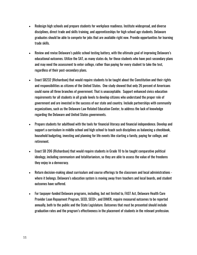- Redesign high schools and prepare students for workplace readiness. Institute widespread, and diverse disciplines, direct trade and skills training, and apprenticeships for high school age students. Delaware graduates should be able to compete for jobs that are available right now. Provide opportunities for learning trade skills.
- Review and revise Delaware's public school testing battery, with the ultimate goal of improving Delaware's educational outcomes. Utilize the SAT, as many states do, for those students who have post-secondary plans and may need the assessment to enter college, rather than paying for every student to take the test, regardless of their post-secondary plans.
- Enact SB232 (Richardson) that would require students to be taught about the Constitution and their rights and responsibilities as citizens of the United States. One study showed that only 26 percent of Americans could name all three branches of government. That is unacceptable. Support enhanced civics education requirements for all students in all grade levels to develop citizens who understand the proper role of government and are invested in the success of our state and country. Include partnerships with community organizations, such as the Delaware Law Related Education Center, to address the lack of knowledge regarding the Delaware and United States governments.
- Prepare students for adulthood with the tools for financial literacy and financial independence. Develop and support a curriculum in middle school and high school to teach such disciplines as balancing a checkbook, household budgeting, investing and planning for life events like starting a family, paying for college, and retirement.
- Enact SB 206 (Richardson) that would require students in Grade 10 to be taught comparative political ideology, including communism and totalitarianism, so they are able to assess the value of the freedoms they enjoy in a democracy.
- Return decision-making about curriculum and course offerings to the classroom and local administrations where it belongs. Delaware's education system is moving away from teachers and local boards, and student outcomes have suffered.
- For taxpayer-funded Delaware programs, including, but not limited to, FAST Act, Delaware Health Care Provider Loan Repayment Program, SEED, SEED+, and DIMER, require measured outcomes to be reported annually, both to the public and the State Legislature. Outcomes that must be presented should include graduation rates and the program's effectiveness in the placement of students in the relevant profession.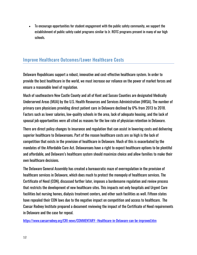• To encourage opportunities for student engagement with the public safety community, we support the establishment of public safety cadet programs similar to Jr. ROTC programs present in many of our high schools.

#### **Improve Healthcare Outcomes/Lower Healthcare Costs**

Delaware Republicans support a robust, innovative and cost-effective healthcare system. In order to provide the best healthcare in the world, we must increase our reliance on the power of market forces and ensure a reasonable level of regulation.

Much of southeastern New Castle County and all of Kent and Sussex Counties are designated Medically Underserved Areas (MUA) by the U.S. Health Resources and Services Administration (HRSA). The number of primary care physicians providing direct patient care in Delaware declined by 6% from 2013 to 2018. Factors such as lower salaries, low-quality schools in the area, lack of adequate housing, and the lack of spousal job opportunities were all cited as reasons for the low rate of physician retention in Delaware.

There are direct policy changes to insurance and regulation that can assist in lowering costs and delivering superior healthcare to Delawareans. Part of the reason healthcare costs are so high is the lack of competition that exists in the provision of healthcare in Delaware. Much of this is exacerbated by the mandates of the Affordable Care Act. Delawareans have a right to expect healthcare options to be plentiful and affordable, and Delaware's healthcare system should maximize choice and allow families to make their own healthcare decisions.

The Delaware General Assembly has created a bureaucratic maze of overregulation in the provision of healthcare services in Delaware, which does much to protect the monopoly of healthcare services. The Certificate of Need (CON), discussed further later, imposes a burdensome regulation and review process that restricts the development of new healthcare sites. This impacts not only hospitals and Urgent Care facilities but nursing homes, dialysis treatment centers, and other such facilities as well. Fifteen states have repealed their CON laws due to the negative impact on competition and access to healthcare. The Caesar Rodney Institute prepared a document reviewing the impact of the Certificate of Need requirements in Delaware and the case for repeal.

<https://www.caesarrodney.org/CRI-news/COMMENTARY--Healthcare-in-Delaware-can-be-improved.htm>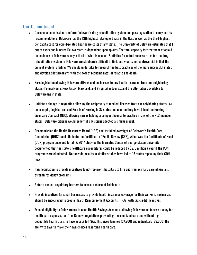- Convene a commission to reform Delaware's drug rehabilitation system and pass legislation to carry out its recommendations. Delaware has the 13th highest fatal opioid rate in the U.S., as well as the third-highest per capita cost for opioid-related healthcare costs of any state. The University of Delaware estimates that 1 out of every one hundred Delawareans is dependent upon opioids. The total capacity for treatment of opioid dependency in Delaware is only a third of what is needed. Statistics for actual success rates for the drug rehabilitation system in Delaware are stubbornly difficult to find, but what is not controversial is that the current system is failing. We should undertake to research the best practices of the more successful states and develop pilot programs with the goal of reducing rates of relapse and death.
- Pass legislation allowing Delaware citizens and businesses to buy health insurance from our neighboring states (Pennsylvania, New Jersey, Maryland, and Virginia) and/or expand the alternatives available to Delawareans in state.
- Initiate a change in regulation allowing the reciprocity of medical licenses from our neighboring states. As an example, Legislatures and Boards of Nursing in 37 states and one territory have joined the Nursing Licensure Compact (NLC), allowing nurses holding a compact license to practice in any of the NLC member states. Delaware citizens would benefit if physicians adopted a similar model.
- Decommission the Health Resources Board (HRB) and its failed oversight of Delaware's Health Care Commission (DHCC) and eliminate the Certificate of Public Review (CPR), which was the Certificate of Need (CON) program once and for all. A 2017 study by the Mercatus Center of George Mason University documented that the state's healthcare expenditures could be reduced by \$270 million a year if the CON program were eliminated. Nationwide, results in similar studies have led to 15 states repealing their CON laws.
- Pass legislation to provide incentives to not-for-profit hospitals to hire and train primary care physicians through residency programs.
- Reform and cut regulatory barriers to access and use of Telehealth.
- Provide incentives for small businesses to provide health insurance coverage for their workers. Businesses should be encouraged to create Health Reimbursement Accounts (HRAs) with tax credit incentives.
- Expand eligibility to Delawareans to open Health-Savings Accounts, allowing Delawareans to save money for health care expenses tax-free. Remove regulations preventing those on Medicare and without high deductible health plans to have access to HSAs. This gives families (\$7,200) and individuals (\$3,600) the ability to save to make their own choices regarding health care.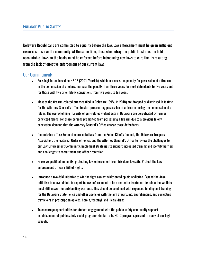#### **ENHANCE PUBLIC SAFETY**

Delaware Republicans are committed to equality before the law. Law enforcement must be given sufficient resources to serve the community. At the same time, those who betray the public trust must be held accountable. Laws on the books must be enforced before introducing new laws to cure the ills resulting from the lack of effective enforcement of our current laws.

- Pass legislation based on HB 13 (2021, Yearick), which increases the penalty for possession of a firearm in the commission of a felony. Increase the penalty from three years for most defendants to five years and for those with two prior felony convictions from five years to ten years.
- Most of the firearm-related offenses filed in Delaware (69% in 2018) are dropped or dismissed. It is time for the Attorney General's Office to start prosecuting possession of a firearm during the commission of a felony. The overwhelming majority of gun-related violent acts in Delaware are perpetrated by former convicted felons. For those persons prohibited from possessing a firearm due to a previous felony conviction, demand that the Attorney General's Office charge those defendants.
- Commission a Task Force of representatives from the Police Chief's Council, The Delaware Troopers Association, the Fraternal Order of Police, and the Attorney General's Office to review the challenges to our Law Enforcement Community. Implement strategies to support increased training and identify barriers and challenges to recruitment and officer retention.
- Preserve qualified immunity, protecting law enforcement from frivolous lawsuits. Protect the Law Enforcement Officer's Bill of Rights.
- Introduce a two-fold initiative to win the fight against widespread opioid addiction. Expand the Angel Initiative to allow addicts to report to law enforcement to be directed to treatment for addiction. Addicts must still answer for outstanding warrants. This should be combined with expanded funding and training for the Delaware State Police and other agencies with the aim of pursuing, apprehending, and convicting traffickers in prescription opioids, heroin, fentanyl, and illegal drugs.
- To encourage opportunities for student engagement with the public safety community support establishment of public safety cadet programs similar to Jr. ROTC programs present in many of our high schools.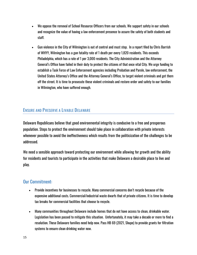- We oppose the removal of School Resource Officers from our schools. We support safety in our schools and recognize the value of having a law enforcement presence to assure the safety of both students and staff.
- Gun violence in the City of Wilmington is out of control and must stop. In a report filed by Chris Barrish of WHYY, Wilmington has a gun fatality rate of 1 death per every 1,820 residents. This exceeds Philadelphia, which has a rate of 1 per 3,000 residents. The City Administration and the Attorney General's Office have failed in their duty to protect the citizens of that once vital City. We urge funding to establish a Task Force of Law Enforcement agencies including Probation and Parole, law enforcement, the United States Attorney's Office and the Attorney General's Office, to target violent criminals and get them off the street. It is time to prosecute these violent criminals and restore order and safety to our families in Wilmington, who have suffered enough.

#### **ENSURE AND PRESERVE A LIVABLE DELAWARE**

Delaware Republicans believe that good environmental integrity is conducive to a free and prosperous population. Steps to protect the environment should take place in collaboration with private interests whenever possible to avoid the ineffectiveness which results from the politicization of the challenges to be addressed.

We need a sensible approach toward protecting our environment while allowing for growth and the ability for residents and tourists to participate in the activities that make Delaware a desirable place to live and play.

- Provide incentives for businesses to recycle. Many commercial concerns don't recycle because of the expensive additional costs. Commercial/industrial waste dwarfs that of private citizens. It is time to develop tax breaks for commercial facilities that choose to recycle.
- Many communities throughout Delaware include homes that do not have access to clean, drinkable water. Legislation has been passed to mitigate this situation. Unfortunately, it may take a decade or more to find a resolution. These Delaware families need help now. Pass HB 69 (2021, Shupe) to provide grants for filtration systems to ensure clean drinking water now.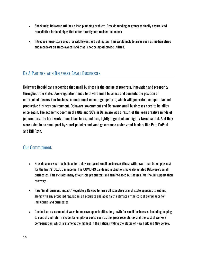- Shockingly, Delaware still has a lead plumbing problem. Provide funding or grants to finally ensure lead remediation for lead pipes that enter directly into residential homes.
- Introduce large-scale areas for wildflowers and pollinators. This would include areas such as median strips and meadows on state-owned land that is not being otherwise utilized.

#### **BE A PARTNER WITH DELAWARE SMALL BUSINESSES**

Delaware Republicans recognize that small business is the engine of progress, innovation and prosperity throughout the state. Over-regulation tends to thwart small business and cements the position of entrenched powers. Our business climate must encourage upstarts, which will generate a competitive and productive business environment. Delaware government and Delaware small businesses need to be allies once again. The economic boom in the 80s and 90's in Delaware was a result of the keen creative minds of job creators, the hard work of our labor force, and free, lightly regulated, and lightly taxed capital. And they were aided in no small part by smart policies and good governance under great leaders like Pete DuPont and Bill Roth.

- Provide a one-year tax holiday for Delaware-based small businesses (those with fewer than 50 employees) for the first \$100,000 in income. The COVID-19 pandemic restrictions have devastated Delaware's small businesses. This includes many of our sole proprietors and family-based businesses. We should support their recovery.
- Pass Small Business Impact/ Regulatory Review to force all executive branch state agencies to submit, along with any proposed regulation, an accurate and good faith estimate of the cost of compliance for individuals and businesses.
- Conduct an assessment of ways to improve opportunities for growth for small businesses, including helping to control and reform incidental employer costs, such as the gross receipts tax and the cost of workers' compensation, which are among the highest in the nation, rivaling the states of New York and New Jersey.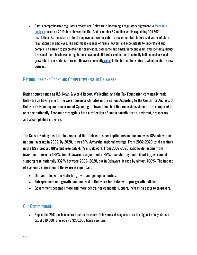• Pass a comprehensive regulatory reform act. Delaware is becoming a regulatory nightmare. A Mercatu[s](https://www.caesarrodney.org/cri-focus-area/Delaware-Piles-on-the-Regulations.htm) [analysis](https://www.caesarrodney.org/cri-focus-area/Delaware-Piles-on-the-Regulations.htm) based on 2019 data showed the Del. Code contains 6.7 million words explaining 104,562 restrictions. As a measure of total employment, we far outstrip any other state in terms of words of state regulations per employee. The enormous expense of hiring lawyers and accountants to understand and comply is a barrier to job creation for businesses, both large and small. In recent years, overspending, higher taxes and more burdensome regulations have made it harder and harder to actually build a business and grow jobs in our state. As a result, Delaware currently [ranks](https://wallethub.com/edu/best-states-to-start-a-business/36934) in the bottom ten states in which to start a new business.

#### **RETURN JOBS AND ECONOMIC COMPETITIVENESS TO DELAWARE**

Rating sources such as U.S. News & World Report, WalletHub, and the Tax Foundation continually rank Delaware as having one of the worst business climates in the nation. According to the Center for Analysis of Delaware's Economy and Government Spending, Delaware has had five recessions since 2009, compared to only one nationally. Economic strength is both a reflection of, and a contributor to, a vibrant, prosperous and accomplished citizenry.

The Caesar Rodney Institute has reported that Delaware's per capita personal income was 18% above the national average in 2002. By 2020, it was 5% *below* the national average. From 2002-2020 total earnings in the US increased 88% but rose only 47% in Delaware. From 2002-2020 nationwide income from investments rose by 129%, but Delaware rose just under 89%. Transfer payments (that is, government support) rose nationally 332% between 2002- 2020, but in Delaware, it rose by almost 400%. The impact of economic stagnation in Delaware is significant.

- Our youth leave the state for growth and job opportunities.
- Entrepreneurs and growth companies skip Delaware for states with pro-growth policies.
- Government becomes more and more central for economic support, increasing costs to taxpayers.

#### Our Commitment:

• Repeal the 2017 tax hike on real estate transfers. Delaware's closing costs are the highest of any state; a tax of \$10,000 is levied on a \$250,000 home purchase.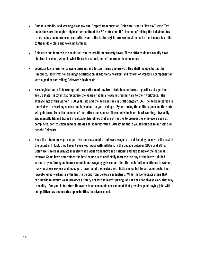- Pursue a middle- and working-class tax cut. Despite its reputation, Delaware is not a "low tax" state. Tax collections are the eighth-highest per capita of the 50 states and D.C. Instead of raising the individual tax rates, as has been proposed year after year in the State Legislature, we must instead offer income tax relief to the middle class and working families.
- Reinstate and increase the senior citizen tax credit on property taxes. These citizens do not usually have children in school, which is what those taxes fund, and often are on fixed incomes.
- Legislate tax reform for growing business and to spur hiring and growth. This shall include, but not be limited to, incentives for training/ certification of additional workers and reform of workers's compensation with a goal of controlling Delaware's high costs.
- Pass legislation to fully exempt military retirement pay from state income taxes, regardless of age. There are 33 states in total that recognize the value of adding newly retired military to their workforce. The average age of this worker is 38 years old and the average rank is Staff Sergeant/E6. The average person is married with a working spouse and kids about to go to college. By not taxing the military pension, the state will gain taxes from the incomes of the retiree and spouse. These individuals are hard-working, physically and mentally fit, and trained in valuable disciplines that are attractive to prospective employers such as computers, construction, medical fields and administration. Attracting these young retirees to our state will benefit Delaware.
- Keep the minimum wage competitive and reasonable. Delaware wages are not keeping pace with the rest of the country. In fact, they haven't even kept pace with inflation. In the decade between 2009 and 2019, Delaware's average private industry wage went from above the national average to below the national average. Some have determined the best course is to artificially increase the pay of the lowest-skilled workers by enforcing an increased minimum wage by government fiat. But as inflation continues to worsen, many business owners and managers have found themselves with little choice but to cut labor costs. The lowest-skilled workers are the first to be cut from Delaware industries. While the Democrats argue that raising the minimum wage provides a safety net for the lowest paying jobs, it does not always work that way in reality. Our goal is to return Delaware to an economic environment that provides good-paying jobs with competitive pay and creates opportunities for advancement.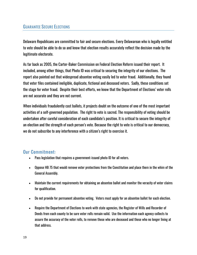#### **GUARANTEE SECURE ELECTIONS**

Delaware Republicans are committed to fair and secure elections. Every Delawarean who is legally entitled to vote should be able to do so and know that election results accurately reflect the decision made by the legitimate electorate.

As far back as 2005, the Carter-Baker Commission on Federal Election Reform issued their report. It included, among other things, that Photo ID was critical to securing the integrity of our elections. The report also pointed out that widespread absentee voting easily led to voter fraud. Additionally, they found that voter files contained ineligible, duplicate, fictional and deceased voters. Sadly, these conditions set the stage for voter fraud. Despite their best efforts, we know that the Department of Elections' voter rolls are not accurate and they are not current.

When individuals fraudulently cast ballots, it projects doubt on the outcome of one of the most important activities of a self-governed population. The right to vote is sacred. The responsibility of voting should be undertaken after careful consideration of each candidate's position. It is critical to secure the integrity of an election and the strength of each person's vote. Because the right to vote is critical to our democracy, we do not subscribe to any interference with a citizen's right to exercise it.

- Pass legislation that requires a government-issued photo ID for all voters.
- Oppose HB 75 that would remove voter protections from the Constitution and place them in the whim of the General Assembly.
- Maintain the current requirements for obtaining an absentee ballot and monitor the veracity of voter claims for qualification.
- Do not provide for permanent absentee voting. Voters must apply for an absentee ballot for each election.
- Require the Department of Elections to work with state agencies, the Register of Wills and Recorder of Deeds from each county to be sure voter rolls remain valid. Use the information each agency collects to assure the accuracy of the voter rolls, to remove those who are deceased and those who no longer living at that address.